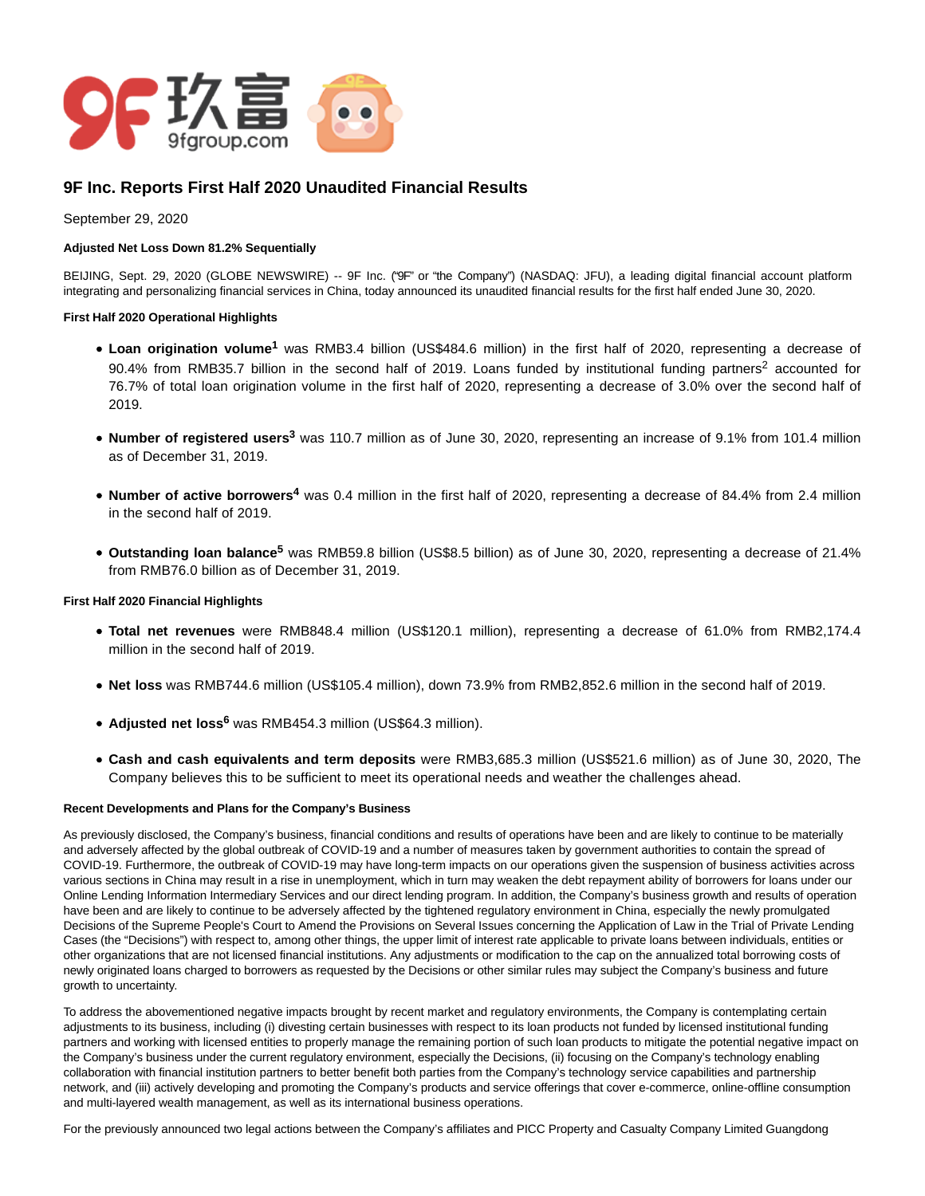

# **9F Inc. Reports First Half 2020 Unaudited Financial Results**

September 29, 2020

# **Adjusted Net Loss Down 81.2% Sequentially**

BEIJING, Sept. 29, 2020 (GLOBE NEWSWIRE) -- 9F Inc. ("9F" or "the Company") (NASDAQ: JFU), a leading digital financial account platform integrating and personalizing financial services in China, today announced its unaudited financial results for the first half ended June 30, 2020.

## **First Half 2020 Operational Highlights**

- Loan origination volume<sup>1</sup> was RMB3.4 billion (US\$484.6 million) in the first half of 2020, representing a decrease of 90.4% from RMB35.7 billion in the second half of 2019. Loans funded by institutional funding partners<sup>2</sup> accounted for 76.7% of total loan origination volume in the first half of 2020, representing a decrease of 3.0% over the second half of 2019.
- **Number of registered users<sup>3</sup>** was 110.7 million as of June 30, 2020, representing an increase of 9.1% from 101.4 million as of December 31, 2019.
- Number of active borrowers<sup>4</sup> was 0.4 million in the first half of 2020, representing a decrease of 84.4% from 2.4 million in the second half of 2019.
- **Outstanding loan balance<sup>5</sup>** was RMB59.8 billion (US\$8.5 billion) as of June 30, 2020, representing a decrease of 21.4% from RMB76.0 billion as of December 31, 2019.

## **First Half 2020 Financial Highlights**

- **Total net revenues** were RMB848.4 million (US\$120.1 million), representing a decrease of 61.0% from RMB2,174.4 million in the second half of 2019.
- **Net loss** was RMB744.6 million (US\$105.4 million), down 73.9% from RMB2,852.6 million in the second half of 2019.
- Adjusted net loss<sup>6</sup> was RMB454.3 million (US\$64.3 million).
- **Cash and cash equivalents and term deposits** were RMB3,685.3 million (US\$521.6 million) as of June 30, 2020, The Company believes this to be sufficient to meet its operational needs and weather the challenges ahead.

## **Recent Developments and Plans for the Company's Business**

As previously disclosed, the Company's business, financial conditions and results of operations have been and are likely to continue to be materially and adversely affected by the global outbreak of COVID-19 and a number of measures taken by government authorities to contain the spread of COVID-19. Furthermore, the outbreak of COVID-19 may have long-term impacts on our operations given the suspension of business activities across various sections in China may result in a rise in unemployment, which in turn may weaken the debt repayment ability of borrowers for loans under our Online Lending Information Intermediary Services and our direct lending program. In addition, the Company's business growth and results of operation have been and are likely to continue to be adversely affected by the tightened regulatory environment in China, especially the newly promulgated Decisions of the Supreme People's Court to Amend the Provisions on Several Issues concerning the Application of Law in the Trial of Private Lending Cases (the "Decisions") with respect to, among other things, the upper limit of interest rate applicable to private loans between individuals, entities or other organizations that are not licensed financial institutions. Any adjustments or modification to the cap on the annualized total borrowing costs of newly originated loans charged to borrowers as requested by the Decisions or other similar rules may subject the Company's business and future growth to uncertainty.

To address the abovementioned negative impacts brought by recent market and regulatory environments, the Company is contemplating certain adjustments to its business, including (i) divesting certain businesses with respect to its loan products not funded by licensed institutional funding partners and working with licensed entities to properly manage the remaining portion of such loan products to mitigate the potential negative impact on the Company's business under the current regulatory environment, especially the Decisions, (ii) focusing on the Company's technology enabling collaboration with financial institution partners to better benefit both parties from the Company's technology service capabilities and partnership network, and (iii) actively developing and promoting the Company's products and service offerings that cover e-commerce, online-offline consumption and multi-layered wealth management, as well as its international business operations.

For the previously announced two legal actions between the Company's affiliates and PICC Property and Casualty Company Limited Guangdong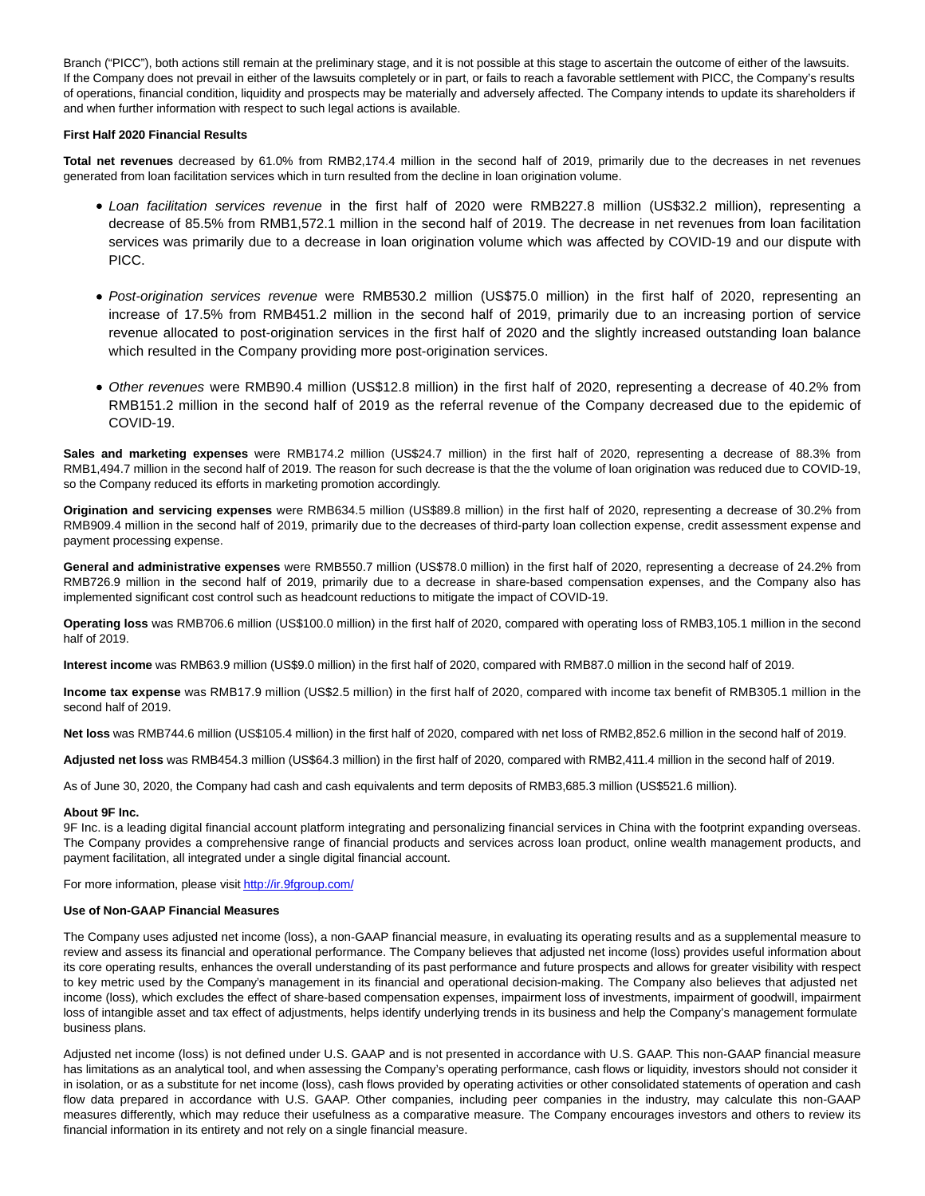Branch ("PICC"), both actions still remain at the preliminary stage, and it is not possible at this stage to ascertain the outcome of either of the lawsuits. If the Company does not prevail in either of the lawsuits completely or in part, or fails to reach a favorable settlement with PICC, the Company's results of operations, financial condition, liquidity and prospects may be materially and adversely affected. The Company intends to update its shareholders if and when further information with respect to such legal actions is available.

### **First Half 2020 Financial Results**

**Total net revenues** decreased by 61.0% from RMB2,174.4 million in the second half of 2019, primarily due to the decreases in net revenues generated from loan facilitation services which in turn resulted from the decline in loan origination volume.

- Loan facilitation services revenue in the first half of 2020 were RMB227.8 million (US\$32.2 million), representing a decrease of 85.5% from RMB1,572.1 million in the second half of 2019. The decrease in net revenues from loan facilitation services was primarily due to a decrease in loan origination volume which was affected by COVID-19 and our dispute with PICC.
- Post-origination services revenue were RMB530.2 million (US\$75.0 million) in the first half of 2020, representing an increase of 17.5% from RMB451.2 million in the second half of 2019, primarily due to an increasing portion of service revenue allocated to post-origination services in the first half of 2020 and the slightly increased outstanding loan balance which resulted in the Company providing more post-origination services.
- Other revenues were RMB90.4 million (US\$12.8 million) in the first half of 2020, representing a decrease of 40.2% from RMB151.2 million in the second half of 2019 as the referral revenue of the Company decreased due to the epidemic of COVID-19.

**Sales and marketing expenses** were RMB174.2 million (US\$24.7 million) in the first half of 2020, representing a decrease of 88.3% from RMB1,494.7 million in the second half of 2019. The reason for such decrease is that the the volume of loan origination was reduced due to COVID-19, so the Company reduced its efforts in marketing promotion accordingly.

**Origination and servicing expenses** were RMB634.5 million (US\$89.8 million) in the first half of 2020, representing a decrease of 30.2% from RMB909.4 million in the second half of 2019, primarily due to the decreases of third-party loan collection expense, credit assessment expense and payment processing expense.

**General and administrative expenses** were RMB550.7 million (US\$78.0 million) in the first half of 2020, representing a decrease of 24.2% from RMB726.9 million in the second half of 2019, primarily due to a decrease in share-based compensation expenses, and the Company also has implemented significant cost control such as headcount reductions to mitigate the impact of COVID-19.

**Operating loss** was RMB706.6 million (US\$100.0 million) in the first half of 2020, compared with operating loss of RMB3,105.1 million in the second half of 2019.

**Interest income** was RMB63.9 million (US\$9.0 million) in the first half of 2020, compared with RMB87.0 million in the second half of 2019.

**Income tax expense** was RMB17.9 million (US\$2.5 million) in the first half of 2020, compared with income tax benefit of RMB305.1 million in the second half of 2019.

**Net loss** was RMB744.6 million (US\$105.4 million) in the first half of 2020, compared with net loss of RMB2,852.6 million in the second half of 2019.

**Adjusted net loss** was RMB454.3 million (US\$64.3 million) in the first half of 2020, compared with RMB2,411.4 million in the second half of 2019.

As of June 30, 2020, the Company had cash and cash equivalents and term deposits of RMB3,685.3 million (US\$521.6 million).

## **About 9F Inc.**

9F Inc. is a leading digital financial account platform integrating and personalizing financial services in China with the footprint expanding overseas. The Company provides a comprehensive range of financial products and services across loan product, online wealth management products, and payment facilitation, all integrated under a single digital financial account.

For more information, please visi[t http://ir.9fgroup.com/](https://www.globenewswire.com/Tracker?data=At2B8ikXHVhvxu0eaoZS1NNf-jsxE6cH_jbo_NWB2dKrXfIbz4mNcOgUeaz3tzn_qfj-aBUOdwhmNc5pX_1hQf82BYtq4gJxuvvi0vBwJfQ=)

#### **Use of Non-GAAP Financial Measures**

The Company uses adjusted net income (loss), a non-GAAP financial measure, in evaluating its operating results and as a supplemental measure to review and assess its financial and operational performance. The Company believes that adjusted net income (loss) provides useful information about its core operating results, enhances the overall understanding of its past performance and future prospects and allows for greater visibility with respect to key metric used by the Company's management in its financial and operational decision-making. The Company also believes that adjusted net income (loss), which excludes the effect of share-based compensation expenses, impairment loss of investments, impairment of goodwill, impairment loss of intangible asset and tax effect of adjustments, helps identify underlying trends in its business and help the Company's management formulate business plans.

Adjusted net income (loss) is not defined under U.S. GAAP and is not presented in accordance with U.S. GAAP. This non-GAAP financial measure has limitations as an analytical tool, and when assessing the Company's operating performance, cash flows or liquidity, investors should not consider it in isolation, or as a substitute for net income (loss), cash flows provided by operating activities or other consolidated statements of operation and cash flow data prepared in accordance with U.S. GAAP. Other companies, including peer companies in the industry, may calculate this non-GAAP measures differently, which may reduce their usefulness as a comparative measure. The Company encourages investors and others to review its financial information in its entirety and not rely on a single financial measure.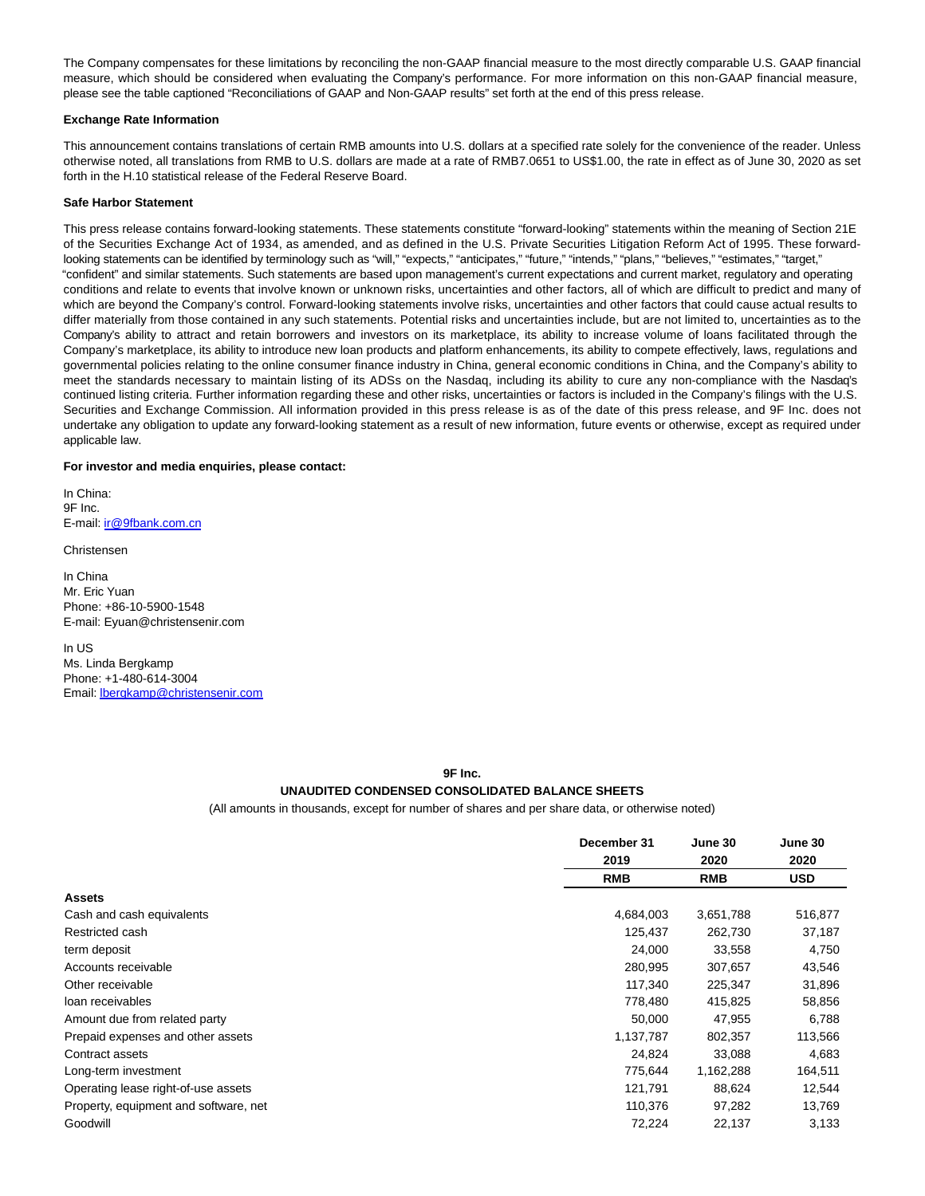The Company compensates for these limitations by reconciling the non-GAAP financial measure to the most directly comparable U.S. GAAP financial measure, which should be considered when evaluating the Company's performance. For more information on this non-GAAP financial measure, please see the table captioned "Reconciliations of GAAP and Non-GAAP results" set forth at the end of this press release.

#### **Exchange Rate Information**

This announcement contains translations of certain RMB amounts into U.S. dollars at a specified rate solely for the convenience of the reader. Unless otherwise noted, all translations from RMB to U.S. dollars are made at a rate of RMB7.0651 to US\$1.00, the rate in effect as of June 30, 2020 as set forth in the H.10 statistical release of the Federal Reserve Board.

#### **Safe Harbor Statement**

This press release contains forward-looking statements. These statements constitute "forward-looking" statements within the meaning of Section 21E of the Securities Exchange Act of 1934, as amended, and as defined in the U.S. Private Securities Litigation Reform Act of 1995. These forwardlooking statements can be identified by terminology such as "will," "expects," "anticipates," "future," "intends," "plans," "believes," "estimates," "target," "confident" and similar statements. Such statements are based upon management's current expectations and current market, regulatory and operating conditions and relate to events that involve known or unknown risks, uncertainties and other factors, all of which are difficult to predict and many of which are beyond the Company's control. Forward-looking statements involve risks, uncertainties and other factors that could cause actual results to differ materially from those contained in any such statements. Potential risks and uncertainties include, but are not limited to, uncertainties as to the Company's ability to attract and retain borrowers and investors on its marketplace, its ability to increase volume of loans facilitated through the Company's marketplace, its ability to introduce new loan products and platform enhancements, its ability to compete effectively, laws, regulations and governmental policies relating to the online consumer finance industry in China, general economic conditions in China, and the Company's ability to meet the standards necessary to maintain listing of its ADSs on the Nasdaq, including its ability to cure any non-compliance with the Nasdaq's continued listing criteria. Further information regarding these and other risks, uncertainties or factors is included in the Company's filings with the U.S. Securities and Exchange Commission. All information provided in this press release is as of the date of this press release, and 9F Inc. does not undertake any obligation to update any forward-looking statement as a result of new information, future events or otherwise, except as required under applicable law.

#### **For investor and media enquiries, please contact:**

In China: 9F Inc. E-mail: [ir@9fbank.com.cn](https://www.globenewswire.com/Tracker?data=KR5Rw_UGjN7STEmQAM-ndpyEXR9EwZC4R8-7VFLtKikH54DWkKORfNANDD7zVJVtihQxp6JvQXodtsyfyXQu3g==)

Christensen

In China Mr. Eric Yuan Phone: +86-10-5900-1548 E-mail: Eyuan@christensenir.com

In US Ms. Linda Bergkamp Phone: +1-480-614-3004 Email[: lbergkamp@christensenir.com](https://www.globenewswire.com/Tracker?data=nLyV7PEfH7O740v__nqDSA3aEbRCSlno2qZa1FMapJAfGKep0-sV-mCxcGa8sG9GKTIjrFvpf4j3_spa40NdYY3QhahPQafE785roWUnYLkrysw-gBa2f1EoUxWX3rHg)

#### **9F Inc.**

# **UNAUDITED CONDENSED CONSOLIDATED BALANCE SHEETS**

(All amounts in thousands, except for number of shares and per share data, or otherwise noted)

|                                       | December 31<br>2019 | June 30<br>2020 | June 30<br>2020 |  |
|---------------------------------------|---------------------|-----------------|-----------------|--|
|                                       | <b>RMB</b>          | <b>RMB</b>      | <b>USD</b>      |  |
| <b>Assets</b>                         |                     |                 |                 |  |
| Cash and cash equivalents             | 4,684,003           | 3,651,788       | 516,877         |  |
| Restricted cash                       | 125,437             | 262,730         | 37,187          |  |
| term deposit                          | 24,000              | 33,558          | 4,750           |  |
| Accounts receivable                   | 280,995             | 307,657         | 43,546          |  |
| Other receivable                      | 117,340             | 225,347         | 31,896          |  |
| loan receivables                      | 778,480             | 415,825         | 58,856          |  |
| Amount due from related party         | 50,000              | 47,955          | 6,788           |  |
| Prepaid expenses and other assets     | 1,137,787           | 802,357         | 113,566         |  |
| Contract assets                       | 24,824              | 33,088          | 4,683           |  |
| Long-term investment                  | 775,644             | 1,162,288       | 164,511         |  |
| Operating lease right-of-use assets   | 121,791             | 88,624          | 12,544          |  |
| Property, equipment and software, net | 110,376             | 97,282          | 13,769          |  |
| Goodwill                              | 72,224              | 22,137          | 3,133           |  |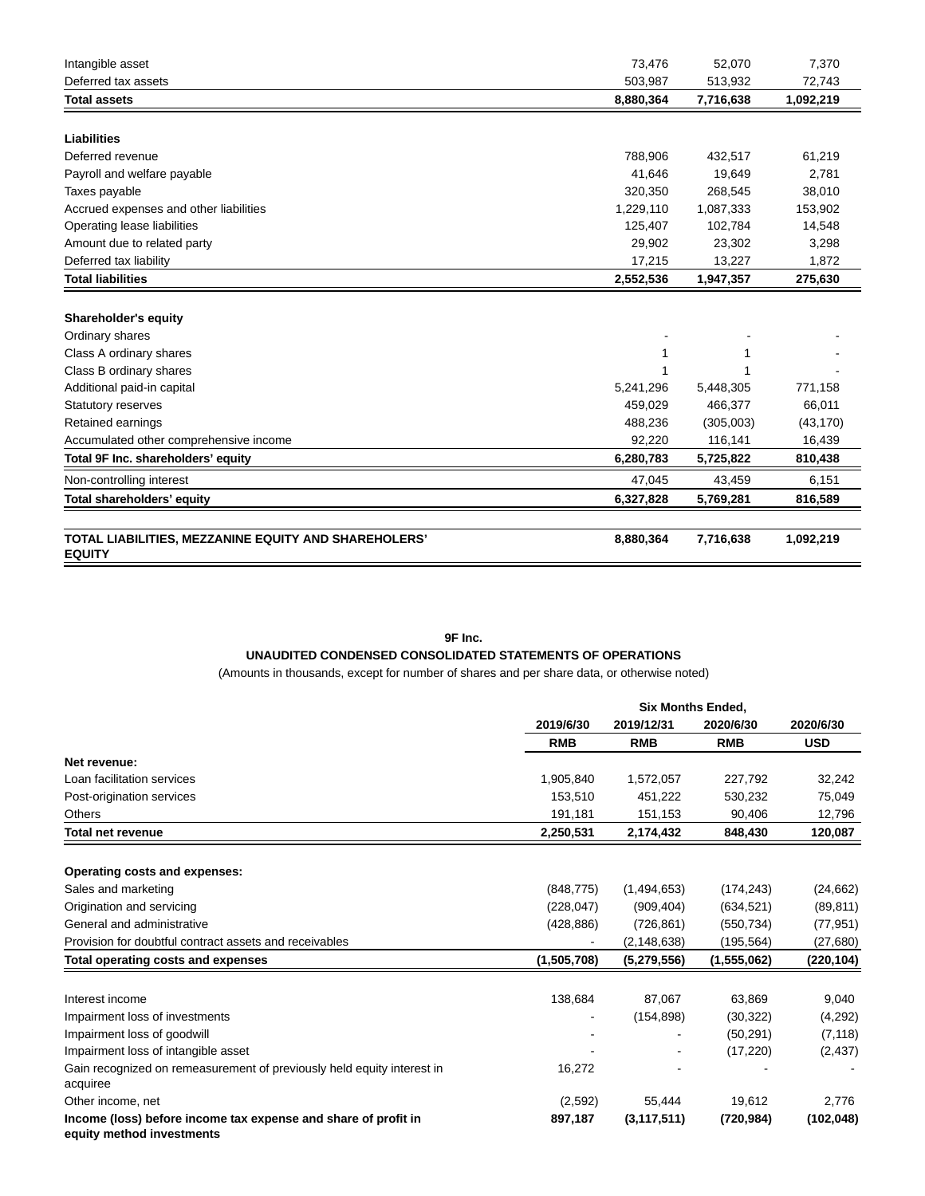| Intangible asset                                                      | 73,476    | 52,070    | 7,370     |
|-----------------------------------------------------------------------|-----------|-----------|-----------|
| Deferred tax assets                                                   | 503,987   | 513,932   | 72,743    |
| <b>Total assets</b>                                                   | 8,880,364 | 7,716,638 | 1,092,219 |
|                                                                       |           |           |           |
| <b>Liabilities</b>                                                    |           |           |           |
| Deferred revenue                                                      | 788,906   | 432,517   | 61,219    |
| Payroll and welfare payable                                           | 41,646    | 19,649    | 2,781     |
| Taxes payable                                                         | 320,350   | 268,545   | 38,010    |
| Accrued expenses and other liabilities                                | 1,229,110 | 1,087,333 | 153,902   |
| Operating lease liabilities                                           | 125,407   | 102,784   | 14,548    |
| Amount due to related party                                           | 29,902    | 23,302    | 3,298     |
| Deferred tax liability                                                | 17,215    | 13,227    | 1,872     |
| <b>Total liabilities</b>                                              | 2,552,536 | 1,947,357 | 275,630   |
|                                                                       |           |           |           |
| <b>Shareholder's equity</b>                                           |           |           |           |
| Ordinary shares                                                       |           |           |           |
| Class A ordinary shares                                               | 1         |           |           |
| Class B ordinary shares                                               | 1         |           |           |
| Additional paid-in capital                                            | 5,241,296 | 5,448,305 | 771,158   |
| <b>Statutory reserves</b>                                             | 459,029   | 466,377   | 66,011    |
| Retained earnings                                                     | 488,236   | (305,003) | (43, 170) |
| Accumulated other comprehensive income                                | 92,220    | 116,141   | 16,439    |
| Total 9F Inc. shareholders' equity                                    | 6,280,783 | 5,725,822 | 810,438   |
| Non-controlling interest                                              | 47,045    | 43,459    | 6,151     |
| Total shareholders' equity                                            | 6,327,828 | 5,769,281 | 816,589   |
|                                                                       |           |           |           |
| TOTAL LIABILITIES, MEZZANINE EQUITY AND SHAREHOLERS'<br><b>EQUITY</b> | 8,880,364 | 7,716,638 | 1,092,219 |

#### **9F Inc.**

# **UNAUDITED CONDENSED CONSOLIDATED STATEMENTS OF OPERATIONS**

(Amounts in thousands, except for number of shares and per share data, or otherwise noted)

|                                                                                             | <b>Six Months Ended,</b> |               |             |            |
|---------------------------------------------------------------------------------------------|--------------------------|---------------|-------------|------------|
|                                                                                             | 2019/6/30                | 2019/12/31    | 2020/6/30   | 2020/6/30  |
|                                                                                             | <b>RMB</b>               | <b>RMB</b>    | <b>RMB</b>  | <b>USD</b> |
| Net revenue:                                                                                |                          |               |             |            |
| Loan facilitation services                                                                  | 1,905,840                | 1,572,057     | 227,792     | 32,242     |
| Post-origination services                                                                   | 153,510                  | 451,222       | 530,232     | 75,049     |
| Others                                                                                      | 191,181                  | 151,153       | 90,406      | 12,796     |
| <b>Total net revenue</b>                                                                    | 2,250,531                | 2,174,432     | 848,430     | 120,087    |
| Operating costs and expenses:                                                               |                          |               |             |            |
| Sales and marketing                                                                         | (848, 775)               | (1,494,653)   | (174, 243)  | (24, 662)  |
| Origination and servicing                                                                   | (228, 047)               | (909, 404)    | (634, 521)  | (89, 811)  |
| General and administrative                                                                  | (428, 886)               | (726, 861)    | (550, 734)  | (77, 951)  |
| Provision for doubtful contract assets and receivables                                      |                          | (2, 148, 638) | (195, 564)  | (27, 680)  |
| Total operating costs and expenses                                                          | (1,505,708)              | (5,279,556)   | (1,555,062) | (220,104)  |
| Interest income                                                                             | 138,684                  | 87,067        | 63,869      | 9,040      |
| Impairment loss of investments                                                              |                          | (154, 898)    | (30, 322)   | (4,292)    |
| Impairment loss of goodwill                                                                 |                          |               | (50, 291)   | (7, 118)   |
| Impairment loss of intangible asset                                                         |                          |               | (17, 220)   | (2, 437)   |
| Gain recognized on remeasurement of previously held equity interest in<br>acquiree          | 16,272                   |               |             |            |
| Other income, net                                                                           | (2,592)                  | 55,444        | 19,612      | 2,776      |
| Income (loss) before income tax expense and share of profit in<br>equity method investments | 897,187                  | (3, 117, 511) | (720, 984)  | (102, 048) |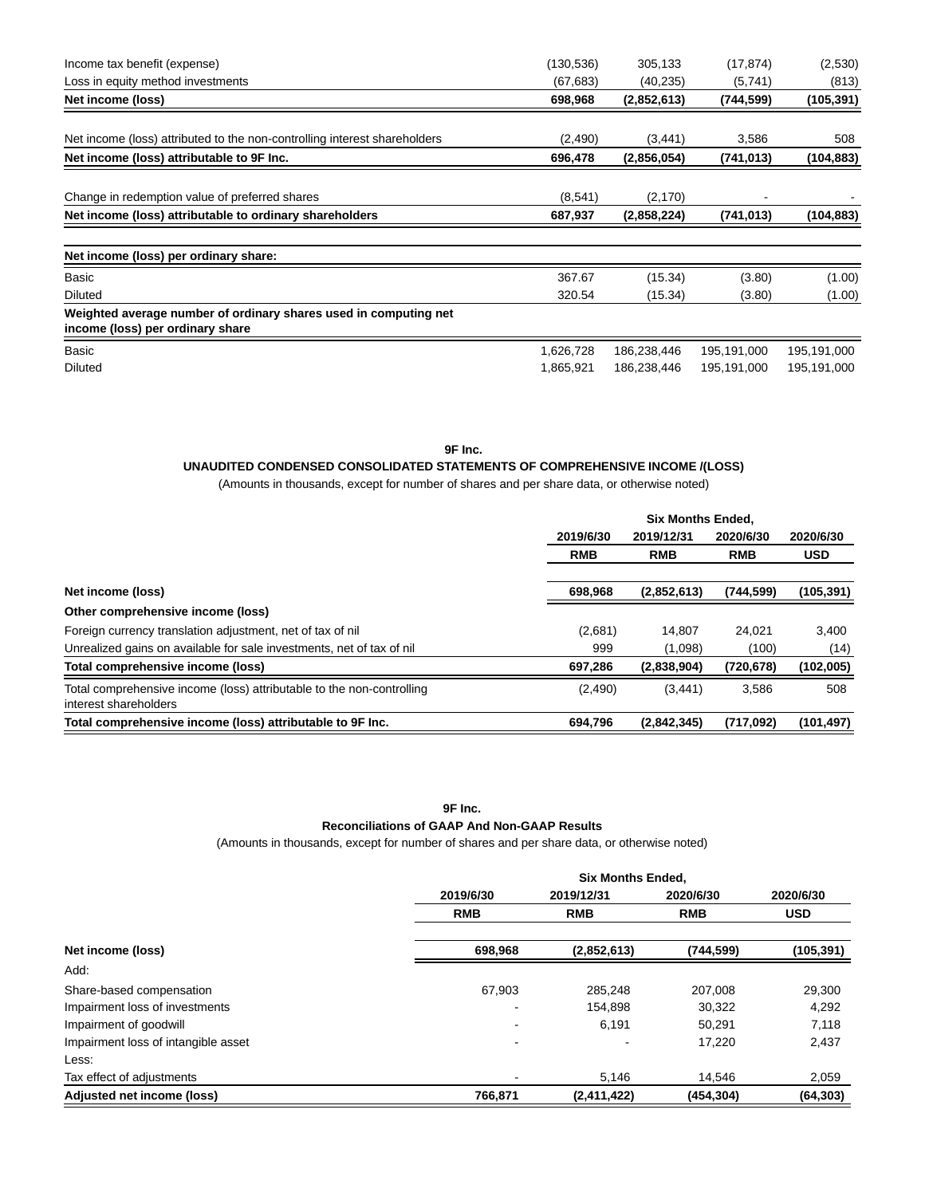|           |             |             | (2,530)     |
|-----------|-------------|-------------|-------------|
| (67, 683) | (40, 235)   | (5,741)     | (813)       |
| 698,968   | (2,852,613) | (744,599)   | (105,391)   |
|           |             |             |             |
| (2,490)   | (3, 441)    | 3,586       | 508         |
| 696,478   | (2,856,054) | (741, 013)  | (104,883)   |
|           |             |             |             |
| (8,541)   | (2, 170)    |             |             |
| 687,937   | (2,858,224) | (741, 013)  | (104,883)   |
|           |             |             |             |
| 367.67    | (15.34)     | (3.80)      | (1.00)      |
| 320.54    | (15.34)     | (3.80)      | (1.00)      |
|           |             |             |             |
| 1,626,728 | 186,238,446 | 195,191,000 | 195,191,000 |
| 1,865,921 | 186,238,446 | 195,191,000 | 195,191,000 |
|           | (130,536)   | 305,133     | (17,874)    |

**9F Inc.**

# **UNAUDITED CONDENSED CONSOLIDATED STATEMENTS OF COMPREHENSIVE INCOME /(LOSS)**

(Amounts in thousands, except for number of shares and per share data, or otherwise noted)

| <b>Six Months Ended.</b> |             |            |            |
|--------------------------|-------------|------------|------------|
| 2019/6/30                |             | 2020/6/30  | 2020/6/30  |
| <b>RMB</b>               | <b>RMB</b>  | <b>RMB</b> | <b>USD</b> |
| 698,968                  | (2,852,613) | (744,599)  | (105, 391) |
|                          |             |            |            |
| (2,681)                  | 14.807      | 24.021     | 3,400      |
| 999                      | (1,098)     | (100)      | (14)       |
| 697,286                  | (2,838,904) | (720,678)  | (102, 005) |
| (2,490)                  | (3, 441)    | 3,586      | 508        |
| 694.796                  | (2,842,345) | (717,092)  | (101, 497) |
|                          |             | 2019/12/31 |            |

# **9F Inc. Reconciliations of GAAP And Non-GAAP Results**

(Amounts in thousands, except for number of shares and per share data, or otherwise noted)

|                                     |            | <b>Six Months Ended.</b> |            |            |  |  |  |  |
|-------------------------------------|------------|--------------------------|------------|------------|--|--|--|--|
|                                     | 2019/6/30  | 2019/12/31               | 2020/6/30  | 2020/6/30  |  |  |  |  |
|                                     | <b>RMB</b> | <b>RMB</b>               | <b>RMB</b> | <b>USD</b> |  |  |  |  |
| Net income (loss)                   | 698,968    | (2,852,613)              | (744, 599) | (105,391)  |  |  |  |  |
| Add:                                |            |                          |            |            |  |  |  |  |
| Share-based compensation            | 67,903     | 285,248                  | 207,008    | 29,300     |  |  |  |  |
| Impairment loss of investments      |            | 154,898                  | 30,322     | 4,292      |  |  |  |  |
| Impairment of goodwill              | ۰.         | 6,191                    | 50,291     | 7,118      |  |  |  |  |
| Impairment loss of intangible asset | -          | $\overline{\phantom{0}}$ | 17,220     | 2,437      |  |  |  |  |
| Less:                               |            |                          |            |            |  |  |  |  |
| Tax effect of adjustments           |            | 5.146                    | 14.546     | 2,059      |  |  |  |  |
| Adjusted net income (loss)          | 766.871    | (2,411,422)              | (454, 304) | (64, 303)  |  |  |  |  |